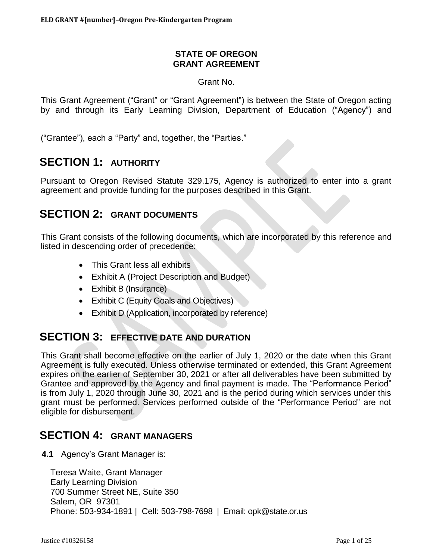### **STATE OF OREGON GRANT AGREEMENT**

#### Grant No.

This Grant Agreement ("Grant" or "Grant Agreement") is between the State of Oregon acting by and through its Early Learning Division, Department of Education ("Agency") and

("Grantee"), each a "Party" and, together, the "Parties."

# **SECTION 1: AUTHORITY**

Pursuant to Oregon Revised Statute 329.175, Agency is authorized to enter into a grant agreement and provide funding for the purposes described in this Grant.

## **SECTION 2: GRANT DOCUMENTS**

This Grant consists of the following documents, which are incorporated by this reference and listed in descending order of precedence:

- This Grant less all exhibits
- Exhibit A (Project Description and Budget)
- Exhibit B (Insurance)
- Exhibit C (Equity Goals and Objectives)
- Exhibit D (Application, incorporated by reference)

# **SECTION 3: EFFECTIVE DATE AND DURATION**

This Grant shall become effective on the earlier of July 1, 2020 or the date when this Grant Agreement is fully executed. Unless otherwise terminated or extended, this Grant Agreement expires on the earlier of September 30, 2021 or after all deliverables have been submitted by Grantee and approved by the Agency and final payment is made. The "Performance Period" is from July 1, 2020 through June 30, 2021 and is the period during which services under this grant must be performed. Services performed outside of the "Performance Period" are not eligible for disbursement.

# **SECTION 4: GRANT MANAGERS**

**4.1** Agency's Grant Manager is:

Teresa Waite, Grant Manager Early Learning Division 700 Summer Street NE, Suite 350 Salem, OR 97301 Phone: 503-934-1891 | Cell: 503-798-7698 | Email: opk@state.or.us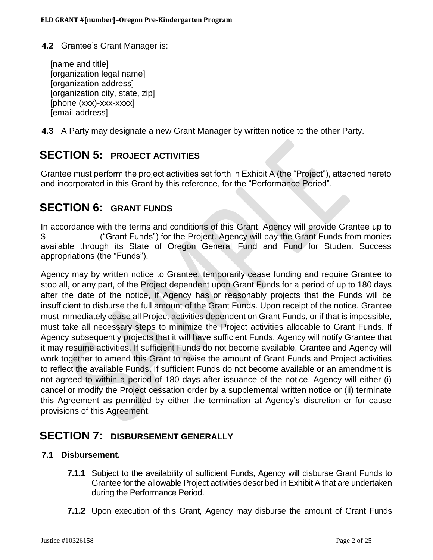**4.2** Grantee's Grant Manager is:

[name and title] [organization legal name] [organization address] [organization city, state, zip] [phone (xxx)-xxx-xxxx] [email address]

**4.3** A Party may designate a new Grant Manager by written notice to the other Party.

# **SECTION 5: PROJECT ACTIVITIES**

Grantee must perform the project activities set forth in Exhibit A (the "Project"), attached hereto and incorporated in this Grant by this reference, for the "Performance Period".

# **SECTION 6: GRANT FUNDS**

In accordance with the terms and conditions of this Grant, Agency will provide Grantee up to \$ ("Grant Funds") for the Project. Agency will pay the Grant Funds from monies available through its State of Oregon General Fund and Fund for Student Success appropriations (the "Funds").

Agency may by written notice to Grantee, temporarily cease funding and require Grantee to stop all, or any part, of the Project dependent upon Grant Funds for a period of up to 180 days after the date of the notice, if Agency has or reasonably projects that the Funds will be insufficient to disburse the full amount of the Grant Funds. Upon receipt of the notice, Grantee must immediately cease all Project activities dependent on Grant Funds, or if that is impossible, must take all necessary steps to minimize the Project activities allocable to Grant Funds. If Agency subsequently projects that it will have sufficient Funds, Agency will notify Grantee that it may resume activities. If sufficient Funds do not become available, Grantee and Agency will work together to amend this Grant to revise the amount of Grant Funds and Project activities to reflect the available Funds. If sufficient Funds do not become available or an amendment is not agreed to within a period of 180 days after issuance of the notice, Agency will either (i) cancel or modify the Project cessation order by a supplemental written notice or (ii) terminate this Agreement as permitted by either the termination at Agency's discretion or for cause provisions of this Agreement.

# **SECTION 7: DISBURSEMENT GENERALLY**

## **7.1 Disbursement.**

- **7.1.1** Subject to the availability of sufficient Funds, Agency will disburse Grant Funds to Grantee for the allowable Project activities described in Exhibit A that are undertaken during the Performance Period.
- **7.1.2** Upon execution of this Grant, Agency may disburse the amount of Grant Funds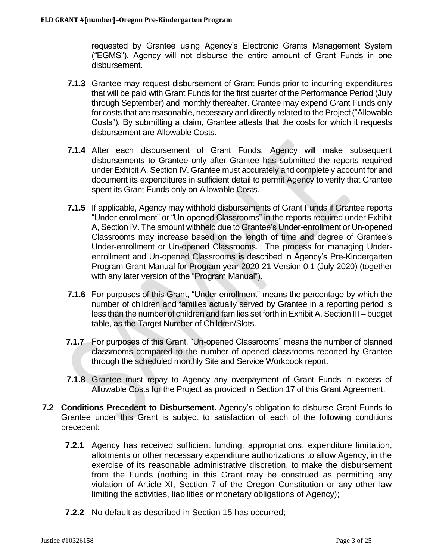requested by Grantee using Agency's Electronic Grants Management System ("EGMS"). Agency will not disburse the entire amount of Grant Funds in one disbursement.

- **7.1.3** Grantee may request disbursement of Grant Funds prior to incurring expenditures that will be paid with Grant Funds for the first quarter of the Performance Period (July through September) and monthly thereafter. Grantee may expend Grant Funds only for costs that are reasonable, necessary and directly related to the Project ("Allowable Costs"). By submitting a claim, Grantee attests that the costs for which it requests disbursement are Allowable Costs.
- **7.1.4** After each disbursement of Grant Funds, Agency will make subsequent disbursements to Grantee only after Grantee has submitted the reports required under Exhibit A, Section IV. Grantee must accurately and completely account for and document its expenditures in sufficient detail to permit Agency to verify that Grantee spent its Grant Funds only on Allowable Costs.
- **7.1.5** If applicable, Agency may withhold disbursements of Grant Funds if Grantee reports "Under-enrollment" or "Un-opened Classrooms" in the reports required under Exhibit A, Section IV. The amount withheld due to Grantee's Under-enrollment or Un-opened Classrooms may increase based on the length of time and degree of Grantee's Under-enrollment or Un-opened Classrooms. The process for managing Underenrollment and Un-opened Classrooms is described in Agency's Pre-Kindergarten Program Grant Manual for Program year 2020-21 Version 0.1 (July 2020) (together with any later version of the "Program Manual").
- **7.1.6** For purposes of this Grant, "Under-enrollment" means the percentage by which the number of children and families actually served by Grantee in a reporting period is less than the number of children and families set forth in Exhibit A, Section III – budget table, as the Target Number of Children/Slots.
- **7.1.7** For purposes of this Grant, "Un-opened Classrooms" means the number of planned classrooms compared to the number of opened classrooms reported by Grantee through the scheduled monthly Site and Service Workbook report.
- **7.1.8** Grantee must repay to Agency any overpayment of Grant Funds in excess of Allowable Costs for the Project as provided in Section 17 of this Grant Agreement.
- **7.2 Conditions Precedent to Disbursement.** Agency's obligation to disburse Grant Funds to Grantee under this Grant is subject to satisfaction of each of the following conditions precedent:
	- **7.2.1** Agency has received sufficient funding, appropriations, expenditure limitation, allotments or other necessary expenditure authorizations to allow Agency, in the exercise of its reasonable administrative discretion, to make the disbursement from the Funds (nothing in this Grant may be construed as permitting any violation of Article XI, Section 7 of the Oregon Constitution or any other law limiting the activities, liabilities or monetary obligations of Agency);
	- **7.2.2** No default as described in Section 15 has occurred;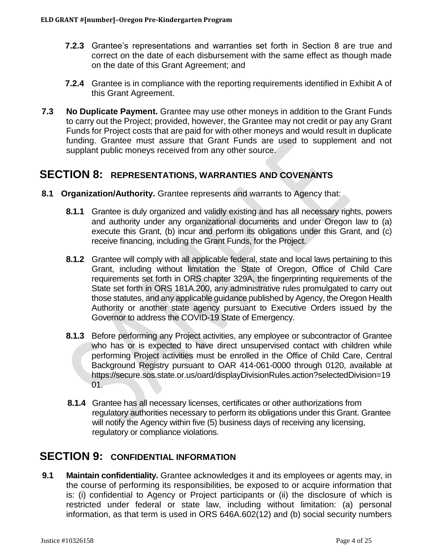- **7.2.3** Grantee's representations and warranties set forth in Section 8 are true and correct on the date of each disbursement with the same effect as though made on the date of this Grant Agreement; and
- **7.2.4** Grantee is in compliance with the reporting requirements identified in Exhibit A of this Grant Agreement.
- **7.3 No Duplicate Payment.** Grantee may use other moneys in addition to the Grant Funds to carry out the Project; provided, however, the Grantee may not credit or pay any Grant Funds for Project costs that are paid for with other moneys and would result in duplicate funding. Grantee must assure that Grant Funds are used to supplement and not supplant public moneys received from any other source.

## **SECTION 8: REPRESENTATIONS, WARRANTIES AND COVENANTS**

- **8.1 Organization/Authority.** Grantee represents and warrants to Agency that:
	- **8.1.1** Grantee is duly organized and validly existing and has all necessary rights, powers and authority under any organizational documents and under Oregon law to (a) execute this Grant, (b) incur and perform its obligations under this Grant, and (c) receive financing, including the Grant Funds, for the Project.
	- **8.1.2** Grantee will comply with all applicable federal, state and local laws pertaining to this Grant, including without limitation the State of Oregon, Office of Child Care requirements set forth in ORS chapter 329A, the fingerprinting requirements of the State set forth in ORS 181A.200, any administrative rules promulgated to carry out those statutes, and any applicable guidance published by Agency, the Oregon Health Authority or another state agency pursuant to Executive Orders issued by the Governor to address the COVID-19 State of Emergency.
	- **8.1.3** Before performing any Project activities, any employee or subcontractor of Grantee who has or is expected to have direct unsupervised contact with children while performing Project activities must be enrolled in the Office of Child Care, Central Background Registry pursuant to OAR 414-061-0000 through 0120, available at https://secure.sos.state.or.us/oard/displayDivisionRules.action?selectedDivision=19 01.
	- **8.1.4** Grantee has all necessary licenses, certificates or other authorizations from regulatory authorities necessary to perform its obligations under this Grant. Grantee will notify the Agency within five (5) business days of receiving any licensing, regulatory or compliance violations.

# **SECTION 9: CONFIDENTIAL INFORMATION**

**9.1 Maintain confidentiality.** Grantee acknowledges it and its employees or agents may, in the course of performing its responsibilities, be exposed to or acquire information that is: (i) confidential to Agency or Project participants or (ii) the disclosure of which is restricted under federal or state law, including without limitation: (a) personal information, as that term is used in ORS 646A.602(12) and (b) social security numbers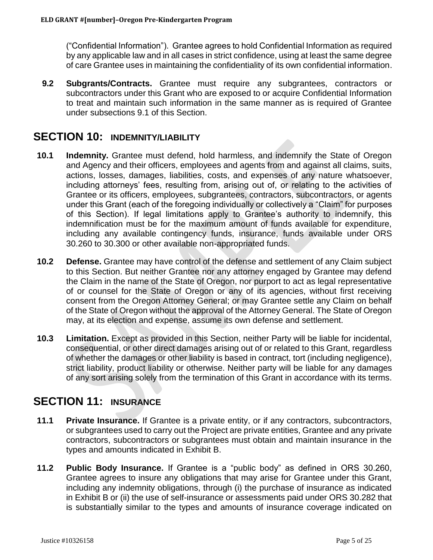("Confidential Information"). Grantee agrees to hold Confidential Information as required by any applicable law and in all cases in strict confidence, using at least the same degree of care Grantee uses in maintaining the confidentiality of its own confidential information.

**9.2 Subgrants/Contracts.** Grantee must require any subgrantees, contractors or subcontractors under this Grant who are exposed to or acquire Confidential Information to treat and maintain such information in the same manner as is required of Grantee under subsections 9.1 of this Section.

# **SECTION 10: INDEMNITY/LIABILITY**

- **10.1 Indemnity.** Grantee must defend, hold harmless, and indemnify the State of Oregon and Agency and their officers, employees and agents from and against all claims, suits, actions, losses, damages, liabilities, costs, and expenses of any nature whatsoever, including attorneys' fees, resulting from, arising out of, or relating to the activities of Grantee or its officers, employees, subgrantees, contractors, subcontractors, or agents under this Grant (each of the foregoing individually or collectively a "Claim" for purposes of this Section). If legal limitations apply to Grantee's authority to indemnify, this indemnification must be for the maximum amount of funds available for expenditure, including any available contingency funds, insurance, funds available under ORS 30.260 to 30.300 or other available non-appropriated funds.
- **10.2 Defense.** Grantee may have control of the defense and settlement of any Claim subject to this Section. But neither Grantee nor any attorney engaged by Grantee may defend the Claim in the name of the State of Oregon, nor purport to act as legal representative of or counsel for the State of Oregon or any of its agencies, without first receiving consent from the Oregon Attorney General; or may Grantee settle any Claim on behalf of the State of Oregon without the approval of the Attorney General. The State of Oregon may, at its election and expense, assume its own defense and settlement.
- **10.3 Limitation.** Except as provided in this Section, neither Party will be liable for incidental, consequential, or other direct damages arising out of or related to this Grant, regardless of whether the damages or other liability is based in contract, tort (including negligence), strict liability, product liability or otherwise. Neither party will be liable for any damages of any sort arising solely from the termination of this Grant in accordance with its terms.

# **SECTION 11: INSURANCE**

- **11.1 Private Insurance.** If Grantee is a private entity, or if any contractors, subcontractors, or subgrantees used to carry out the Project are private entities, Grantee and any private contractors, subcontractors or subgrantees must obtain and maintain insurance in the types and amounts indicated in Exhibit B.
- **11.2 Public Body Insurance.** If Grantee is a "public body" as defined in ORS 30.260, Grantee agrees to insure any obligations that may arise for Grantee under this Grant, including any indemnity obligations, through (i) the purchase of insurance as indicated in Exhibit B or (ii) the use of self-insurance or assessments paid under ORS 30.282 that is substantially similar to the types and amounts of insurance coverage indicated on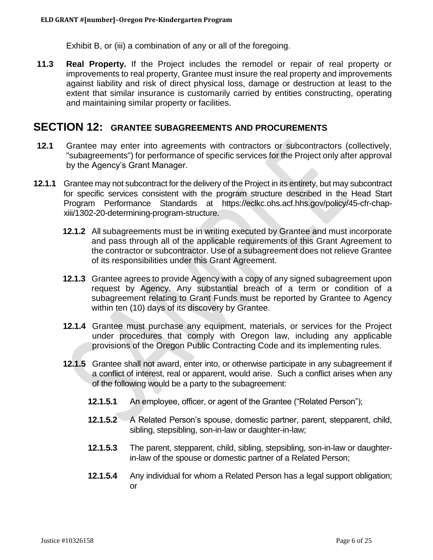Exhibit B, or (iii) a combination of any or all of the foregoing.

**11.3 Real Property.** If the Project includes the remodel or repair of real property or improvements to real property, Grantee must insure the real property and improvements against liability and risk of direct physical loss, damage or destruction at least to the extent that similar insurance is customarily carried by entities constructing, operating and maintaining similar property or facilities.

## **SECTION 12: GRANTEE SUBAGREEMENTS AND PROCUREMENTS**

- **12.1** Grantee may enter into agreements with contractors or subcontractors (collectively, "subagreements") for performance of specific services for the Project only after approval by the Agency's Grant Manager.
- **12.1.1** Grantee may not subcontract for the delivery of the Project in its entirety, but may subcontract for specific services consistent with the program structure described in the Head Start Program Performance Standards at https://eclkc.ohs.acf.hhs.gov/policy/45-cfr-chapxiii/1302-20-determining-program-structure.
	- **12.1.2** All subagreements must be in writing executed by Grantee and must incorporate and pass through all of the applicable requirements of this Grant Agreement to the contractor or subcontractor. Use of a subagreement does not relieve Grantee of its responsibilities under this Grant Agreement.
	- **12.1.3** Grantee agrees to provide Agency with a copy of any signed subagreement upon request by Agency. Any substantial breach of a term or condition of a subagreement relating to Grant Funds must be reported by Grantee to Agency within ten (10) days of its discovery by Grantee.
	- **12.1.4** Grantee must purchase any equipment, materials, or services for the Project under procedures that comply with Oregon law, including any applicable provisions of the Oregon Public Contracting Code and its implementing rules.
	- **12.1.5** Grantee shall not award, enter into, or otherwise participate in any subagreement if a conflict of interest, real or apparent, would arise. Such a conflict arises when any of the following would be a party to the subagreement:
		- **12.1.5.1** An employee, officer, or agent of the Grantee ("Related Person");
		- **12.1.5.2** A Related Person's spouse, domestic partner, parent, stepparent, child, sibling, stepsibling, son-in-law or daughter-in-law;
		- **12.1.5.3** The parent, stepparent, child, sibling, stepsibling, son-in-law or daughterin-law of the spouse or domestic partner of a Related Person;
		- **12.1.5.4** Any individual for whom a Related Person has a legal support obligation; or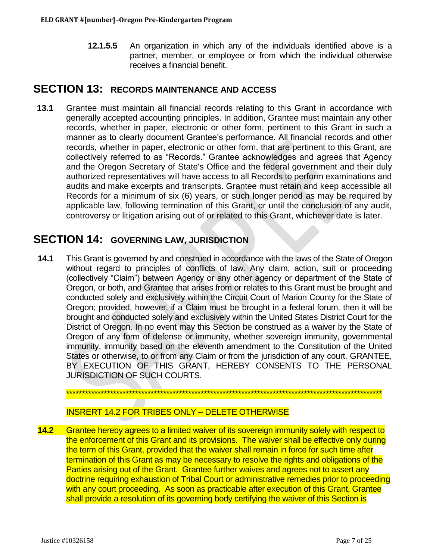**12.1.5.5** An organization in which any of the individuals identified above is a partner, member, or employee or from which the individual otherwise receives a financial benefit.

## **SECTION 13: RECORDS MAINTENANCE AND ACCESS**

**13.1** Grantee must maintain all financial records relating to this Grant in accordance with generally accepted accounting principles. In addition, Grantee must maintain any other records, whether in paper, electronic or other form, pertinent to this Grant in such a manner as to clearly document Grantee's performance. All financial records and other records, whether in paper, electronic or other form, that are pertinent to this Grant, are collectively referred to as "Records." Grantee acknowledges and agrees that Agency and the Oregon Secretary of State's Office and the federal government and their duly authorized representatives will have access to all Records to perform examinations and audits and make excerpts and transcripts. Grantee must retain and keep accessible all Records for a minimum of six (6) years, or such longer period as may be required by applicable law, following termination of this Grant, or until the conclusion of any audit, controversy or litigation arising out of or related to this Grant, whichever date is later.

## **SECTION 14: GOVERNING LAW, JURISDICTION**

**14.1** This Grant is governed by and construed in accordance with the laws of the State of Oregon without regard to principles of conflicts of law. Any claim, action, suit or proceeding (collectively "Claim") between Agency or any other agency or department of the State of Oregon, or both, and Grantee that arises from or relates to this Grant must be brought and conducted solely and exclusively within the Circuit Court of Marion County for the State of Oregon; provided, however, if a Claim must be brought in a federal forum, then it will be brought and conducted solely and exclusively within the United States District Court for the District of Oregon. In no event may this Section be construed as a waiver by the State of Oregon of any form of defense or immunity, whether sovereign immunity, governmental immunity, immunity based on the eleventh amendment to the Constitution of the United States or otherwise, to or from any Claim or from the jurisdiction of any court. GRANTEE, BY EXECUTION OF THIS GRANT, HEREBY CONSENTS TO THE PERSONAL JURISDICTION OF SUCH COURTS.

\*\*\*\*\*\*\*\*\*\*\*\*\*\*\*\*\*\*\*\*\*\*\*\*\*\*\*\*\*\*\*\*\*\*\*\*\*\*\*\*\*\*\*\*\*\*\*\*\*\*\*\*\*\*\*\*\*\*\*\*\*\*\*\*\*\*\*\*\*\*\*\*\*\*\*\*\*\*\*\*\*\*\*\*\*\*\*\*\*\*\*\*\*\*\*\*\*\*\*\*\*

### INSRERT 14.2 FOR TRIBES ONLY – DELETE OTHERWISE

**14.2** Grantee hereby agrees to a limited waiver of its sovereign immunity solely with respect to the enforcement of this Grant and its provisions. The waiver shall be effective only during the term of this Grant, provided that the waiver shall remain in force for such time after termination of this Grant as may be necessary to resolve the rights and obligations of the Parties arising out of the Grant. Grantee further waives and agrees not to assert any doctrine requiring exhaustion of Tribal Court or administrative remedies prior to proceeding with any court proceeding. As soon as practicable after execution of this Grant, Grantee shall provide a resolution of its governing body certifying the waiver of this Section is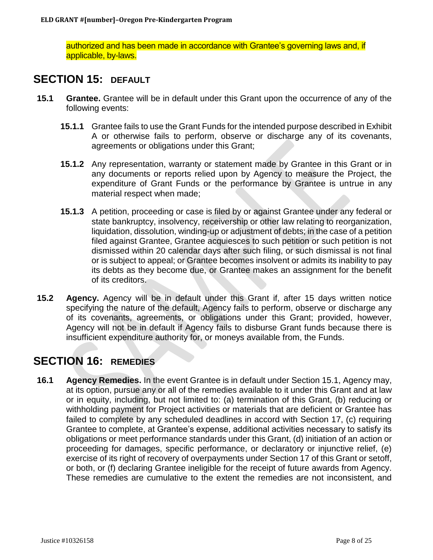authorized and has been made in accordance with Grantee's governing laws and, if applicable, by-laws.

# **SECTION 15: DEFAULT**

- **15.1 Grantee.** Grantee will be in default under this Grant upon the occurrence of any of the following events:
	- **15.1.1** Grantee fails to use the Grant Funds for the intended purpose described in Exhibit A or otherwise fails to perform, observe or discharge any of its covenants, agreements or obligations under this Grant;
	- **15.1.2** Any representation, warranty or statement made by Grantee in this Grant or in any documents or reports relied upon by Agency to measure the Project, the expenditure of Grant Funds or the performance by Grantee is untrue in any material respect when made;
	- **15.1.3** A petition, proceeding or case is filed by or against Grantee under any federal or state bankruptcy, insolvency, receivership or other law relating to reorganization, liquidation, dissolution, winding-up or adjustment of debts; in the case of a petition filed against Grantee, Grantee acquiesces to such petition or such petition is not dismissed within 20 calendar days after such filing, or such dismissal is not final or is subject to appeal; or Grantee becomes insolvent or admits its inability to pay its debts as they become due, or Grantee makes an assignment for the benefit of its creditors.
- **15.2 Agency.** Agency will be in default under this Grant if, after 15 days written notice specifying the nature of the default, Agency fails to perform, observe or discharge any of its covenants, agreements, or obligations under this Grant; provided, however, Agency will not be in default if Agency fails to disburse Grant funds because there is insufficient expenditure authority for, or moneys available from, the Funds.

# **SECTION 16: REMEDIES**

**16.1 Agency Remedies.** In the event Grantee is in default under Section 15.1, Agency may, at its option, pursue any or all of the remedies available to it under this Grant and at law or in equity, including, but not limited to: (a) termination of this Grant, (b) reducing or withholding payment for Project activities or materials that are deficient or Grantee has failed to complete by any scheduled deadlines in accord with Section 17, (c) requiring Grantee to complete, at Grantee's expense, additional activities necessary to satisfy its obligations or meet performance standards under this Grant, (d) initiation of an action or proceeding for damages, specific performance, or declaratory or injunctive relief, (e) exercise of its right of recovery of overpayments under Section 17 of this Grant or setoff, or both, or (f) declaring Grantee ineligible for the receipt of future awards from Agency. These remedies are cumulative to the extent the remedies are not inconsistent, and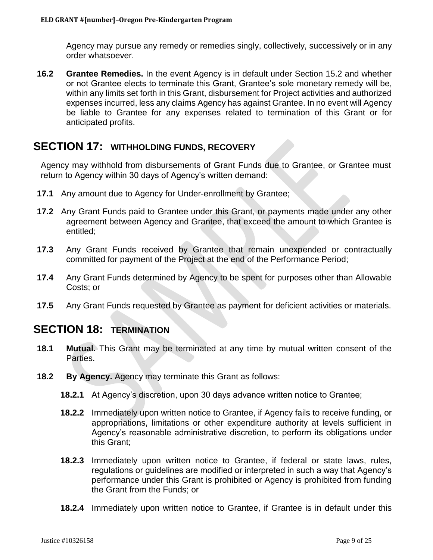Agency may pursue any remedy or remedies singly, collectively, successively or in any order whatsoever.

**16.2 Grantee Remedies.** In the event Agency is in default under Section 15.2 and whether or not Grantee elects to terminate this Grant, Grantee's sole monetary remedy will be, within any limits set forth in this Grant, disbursement for Project activities and authorized expenses incurred, less any claims Agency has against Grantee. In no event will Agency be liable to Grantee for any expenses related to termination of this Grant or for anticipated profits.

## **SECTION 17: WITHHOLDING FUNDS, RECOVERY**

Agency may withhold from disbursements of Grant Funds due to Grantee, or Grantee must return to Agency within 30 days of Agency's written demand:

- **17.1** Any amount due to Agency for Under-enrollment by Grantee;
- **17.2** Any Grant Funds paid to Grantee under this Grant, or payments made under any other agreement between Agency and Grantee, that exceed the amount to which Grantee is entitled;
- **17.3** Any Grant Funds received by Grantee that remain unexpended or contractually committed for payment of the Project at the end of the Performance Period;
- **17.4** Any Grant Funds determined by Agency to be spent for purposes other than Allowable Costs; or
- **17.5** Any Grant Funds requested by Grantee as payment for deficient activities or materials.

## **SECTION 18: TERMINATION**

- **18.1 Mutual.** This Grant may be terminated at any time by mutual written consent of the Parties.
- **18.2 By Agency.** Agency may terminate this Grant as follows:
	- **18.2.1** At Agency's discretion, upon 30 days advance written notice to Grantee;
	- **18.2.2** Immediately upon written notice to Grantee, if Agency fails to receive funding, or appropriations, limitations or other expenditure authority at levels sufficient in Agency's reasonable administrative discretion, to perform its obligations under this Grant;
	- **18.2.3** Immediately upon written notice to Grantee, if federal or state laws, rules, regulations or guidelines are modified or interpreted in such a way that Agency's performance under this Grant is prohibited or Agency is prohibited from funding the Grant from the Funds; or
	- **18.2.4** Immediately upon written notice to Grantee, if Grantee is in default under this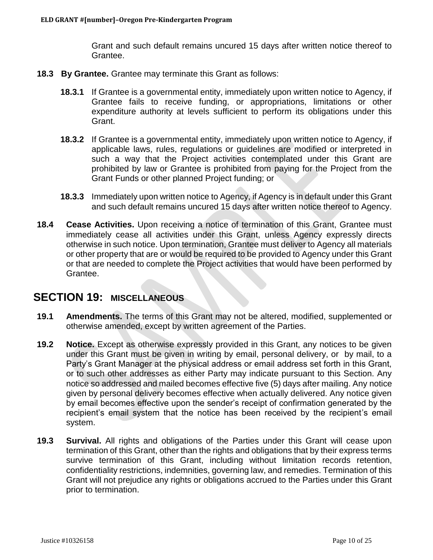Grant and such default remains uncured 15 days after written notice thereof to Grantee.

- **18.3 By Grantee.** Grantee may terminate this Grant as follows:
	- **18.3.1** If Grantee is a governmental entity, immediately upon written notice to Agency, if Grantee fails to receive funding, or appropriations, limitations or other expenditure authority at levels sufficient to perform its obligations under this Grant.
	- **18.3.2** If Grantee is a governmental entity, immediately upon written notice to Agency, if applicable laws, rules, regulations or guidelines are modified or interpreted in such a way that the Project activities contemplated under this Grant are prohibited by law or Grantee is prohibited from paying for the Project from the Grant Funds or other planned Project funding; or
	- **18.3.3** Immediately upon written notice to Agency, if Agency is in default under this Grant and such default remains uncured 15 days after written notice thereof to Agency.
- **18.4 Cease Activities.** Upon receiving a notice of termination of this Grant, Grantee must immediately cease all activities under this Grant, unless Agency expressly directs otherwise in such notice. Upon termination, Grantee must deliver to Agency all materials or other property that are or would be required to be provided to Agency under this Grant or that are needed to complete the Project activities that would have been performed by Grantee.

## **SECTION 19: MISCELLANEOUS**

- **19.1 Amendments.** The terms of this Grant may not be altered, modified, supplemented or otherwise amended, except by written agreement of the Parties.
- **19.2 Notice.** Except as otherwise expressly provided in this Grant, any notices to be given under this Grant must be given in writing by email, personal delivery, or by mail, to a Party's Grant Manager at the physical address or email address set forth in this Grant, or to such other addresses as either Party may indicate pursuant to this Section. Any notice so addressed and mailed becomes effective five (5) days after mailing. Any notice given by personal delivery becomes effective when actually delivered. Any notice given by email becomes effective upon the sender's receipt of confirmation generated by the recipient's email system that the notice has been received by the recipient's email system.
- **19.3 Survival.** All rights and obligations of the Parties under this Grant will cease upon termination of this Grant, other than the rights and obligations that by their express terms survive termination of this Grant, including without limitation records retention, confidentiality restrictions, indemnities, governing law, and remedies. Termination of this Grant will not prejudice any rights or obligations accrued to the Parties under this Grant prior to termination.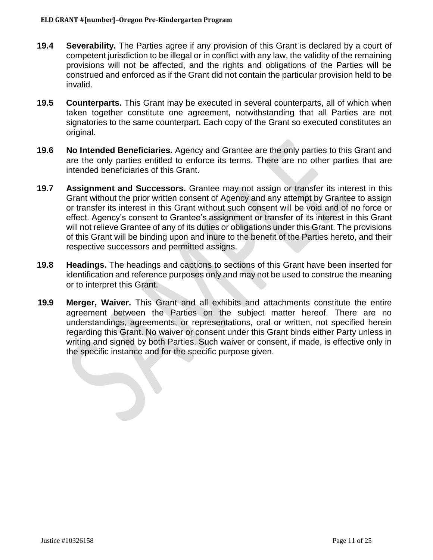- **19.4 Severability.** The Parties agree if any provision of this Grant is declared by a court of competent jurisdiction to be illegal or in conflict with any law, the validity of the remaining provisions will not be affected, and the rights and obligations of the Parties will be construed and enforced as if the Grant did not contain the particular provision held to be invalid.
- **19.5 Counterparts.** This Grant may be executed in several counterparts, all of which when taken together constitute one agreement, notwithstanding that all Parties are not signatories to the same counterpart. Each copy of the Grant so executed constitutes an original.
- **19.6 No Intended Beneficiaries.** Agency and Grantee are the only parties to this Grant and are the only parties entitled to enforce its terms. There are no other parties that are intended beneficiaries of this Grant.
- **19.7 Assignment and Successors.** Grantee may not assign or transfer its interest in this Grant without the prior written consent of Agency and any attempt by Grantee to assign or transfer its interest in this Grant without such consent will be void and of no force or effect. Agency's consent to Grantee's assignment or transfer of its interest in this Grant will not relieve Grantee of any of its duties or obligations under this Grant. The provisions of this Grant will be binding upon and inure to the benefit of the Parties hereto, and their respective successors and permitted assigns.
- **19.8 Headings.** The headings and captions to sections of this Grant have been inserted for identification and reference purposes only and may not be used to construe the meaning or to interpret this Grant.
- **19.9 Merger, Waiver.** This Grant and all exhibits and attachments constitute the entire agreement between the Parties on the subject matter hereof. There are no understandings, agreements, or representations, oral or written, not specified herein regarding this Grant. No waiver or consent under this Grant binds either Party unless in writing and signed by both Parties. Such waiver or consent, if made, is effective only in the specific instance and for the specific purpose given.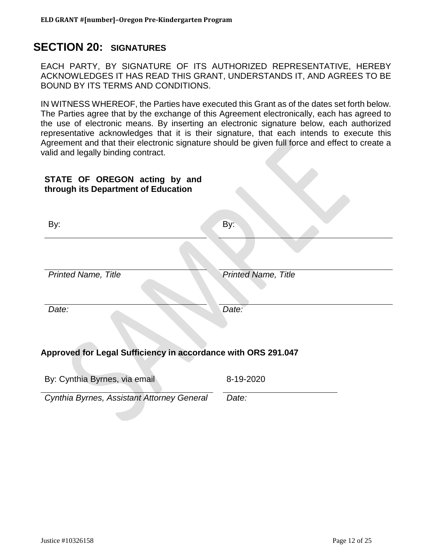# **SECTION 20: SIGNATURES**

EACH PARTY, BY SIGNATURE OF ITS AUTHORIZED REPRESENTATIVE, HEREBY ACKNOWLEDGES IT HAS READ THIS GRANT, UNDERSTANDS IT, AND AGREES TO BE BOUND BY ITS TERMS AND CONDITIONS.

IN WITNESS WHEREOF, the Parties have executed this Grant as of the dates set forth below. The Parties agree that by the exchange of this Agreement electronically, each has agreed to the use of electronic means. By inserting an electronic signature below, each authorized representative acknowledges that it is their signature, that each intends to execute this Agreement and that their electronic signature should be given full force and effect to create a valid and legally binding contract.

| STATE OF OREGON acting by and<br>through its Department of Education |                            |
|----------------------------------------------------------------------|----------------------------|
| By:                                                                  | By:                        |
|                                                                      |                            |
| <b>Printed Name, Title</b>                                           | <b>Printed Name, Title</b> |
| Date:                                                                | Date:                      |
| Approved for Legal Sufficiency in accordance with ORS 291.047        |                            |
| By: Cynthia Byrnes, via email                                        | 8-19-2020                  |

*Cynthia Byrnes, Assistant Attorney General Date:*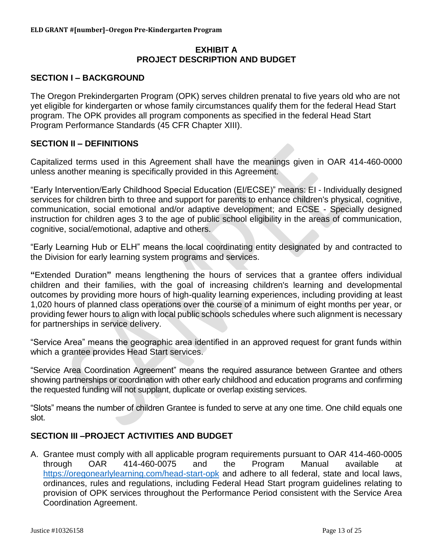### **EXHIBIT A PROJECT DESCRIPTION AND BUDGET**

### **SECTION I – BACKGROUND**

The Oregon Prekindergarten Program (OPK) serves children prenatal to five years old who are not yet eligible for kindergarten or whose family circumstances qualify them for the federal Head Start program. The OPK provides all program components as specified in the federal Head Start Program Performance Standards (45 CFR Chapter XIII).

### **SECTION II – DEFINITIONS**

Capitalized terms used in this Agreement shall have the meanings given in OAR 414-460-0000 unless another meaning is specifically provided in this Agreement.

"Early Intervention/Early Childhood Special Education (EI/ECSE)" means: EI - Individually designed services for children birth to three and support for parents to enhance children's physical, cognitive, communication, social emotional and/or adaptive development; and ECSE - Specially designed instruction for children ages 3 to the age of public school eligibility in the areas of communication, cognitive, social/emotional, adaptive and others.

"Early Learning Hub or ELH" means the local coordinating entity designated by and contracted to the Division for early learning system programs and services.

**"**Extended Duration**"** means lengthening the hours of services that a grantee offers individual children and their families, with the goal of increasing children's learning and developmental outcomes by providing more hours of high-quality learning experiences, including providing at least 1,020 hours of planned class operations over the course of a minimum of eight months per year, or providing fewer hours to align with local public schools schedules where such alignment is necessary for partnerships in service delivery.

"Service Area" means the geographic area identified in an approved request for grant funds within which a grantee provides Head Start services.

"Service Area Coordination Agreement" means the required assurance between Grantee and others showing partnerships or coordination with other early childhood and education programs and confirming the requested funding will not supplant, duplicate or overlap existing services.

"Slots" means the number of children Grantee is funded to serve at any one time. One child equals one slot.

### **SECTION III –PROJECT ACTIVITIES AND BUDGET**

A. Grantee must comply with all applicable program requirements pursuant to OAR 414-460-0005 through OAR 414-460-0075 and the Program Manual available at <https://oregonearlylearning.com/head-start-opk> and adhere to all federal, state and local laws, ordinances, rules and regulations, including Federal Head Start program guidelines relating to provision of OPK services throughout the Performance Period consistent with the Service Area Coordination Agreement.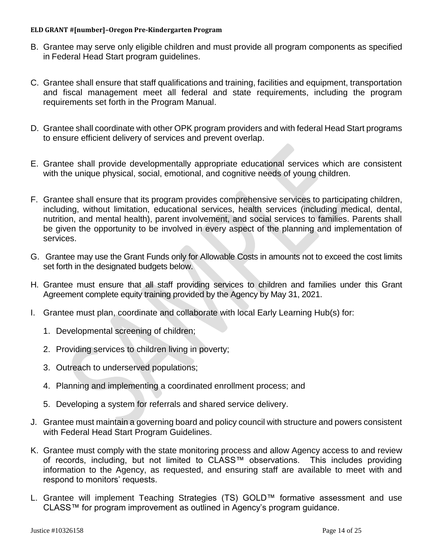- B. Grantee may serve only eligible children and must provide all program components as specified in Federal Head Start program guidelines.
- C. Grantee shall ensure that staff qualifications and training, facilities and equipment, transportation and fiscal management meet all federal and state requirements, including the program requirements set forth in the Program Manual.
- D. Grantee shall coordinate with other OPK program providers and with federal Head Start programs to ensure efficient delivery of services and prevent overlap.
- E. Grantee shall provide developmentally appropriate educational services which are consistent with the unique physical, social, emotional, and cognitive needs of young children.
- F. Grantee shall ensure that its program provides comprehensive services to participating children, including, without limitation, educational services, health services (including medical, dental, nutrition, and mental health), parent involvement, and social services to families. Parents shall be given the opportunity to be involved in every aspect of the planning and implementation of services.
- G. Grantee may use the Grant Funds only for Allowable Costs in amounts not to exceed the cost limits set forth in the designated budgets below.
- H. Grantee must ensure that all staff providing services to children and families under this Grant Agreement complete equity training provided by the Agency by May 31, 2021.
- I. Grantee must plan, coordinate and collaborate with local Early Learning Hub(s) for:
	- 1. Developmental screening of children;
	- 2. Providing services to children living in poverty;
	- 3. Outreach to underserved populations;
	- 4. Planning and implementing a coordinated enrollment process; and
	- 5. Developing a system for referrals and shared service delivery.
- J. Grantee must maintain a governing board and policy council with structure and powers consistent with Federal Head Start Program Guidelines.
- K. Grantee must comply with the state monitoring process and allow Agency access to and review of records, including, but not limited to CLASS™ observations. This includes providing information to the Agency, as requested, and ensuring staff are available to meet with and respond to monitors' requests.
- L. Grantee will implement Teaching Strategies (TS) GOLD™ formative assessment and use CLASS™ for program improvement as outlined in Agency's program guidance.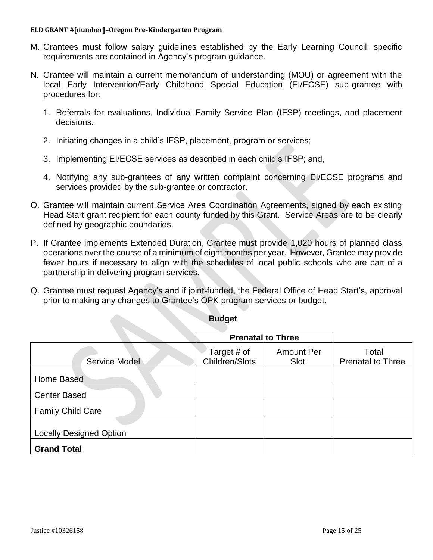- M. Grantees must follow salary guidelines established by the Early Learning Council; specific requirements are contained in Agency's program guidance.
- N. Grantee will maintain a current memorandum of understanding (MOU) or agreement with the local Early Intervention/Early Childhood Special Education (EI/ECSE) sub-grantee with procedures for:
	- 1. Referrals for evaluations, Individual Family Service Plan (IFSP) meetings, and placement decisions.
	- 2. Initiating changes in a child's IFSP, placement, program or services;
	- 3. Implementing EI/ECSE services as described in each child's IFSP; and,
	- 4. Notifying any sub-grantees of any written complaint concerning EI/ECSE programs and services provided by the sub-grantee or contractor.
- O. Grantee will maintain current Service Area Coordination Agreements, signed by each existing Head Start grant recipient for each county funded by this Grant. Service Areas are to be clearly defined by geographic boundaries.
- P. If Grantee implements Extended Duration, Grantee must provide 1,020 hours of planned class operations over the course of a minimum of eight months per year. However, Grantee may provide fewer hours if necessary to align with the schedules of local public schools who are part of a partnership in delivering program services.
- Q. Grantee must request Agency's and if joint-funded, the Federal Office of Head Start's, approval prior to making any changes to Grantee's OPK program services or budget.

|                                | <b>Prenatal to Three</b>      |                           |                                   |
|--------------------------------|-------------------------------|---------------------------|-----------------------------------|
| Service Model                  | Target # of<br>Children/Slots | <b>Amount Per</b><br>Slot | Total<br><b>Prenatal to Three</b> |
| Home Based                     |                               |                           |                                   |
| <b>Center Based</b>            |                               |                           |                                   |
| <b>Family Child Care</b>       |                               |                           |                                   |
|                                |                               |                           |                                   |
| <b>Locally Designed Option</b> |                               |                           |                                   |
| <b>Grand Total</b>             |                               |                           |                                   |

### **Budget**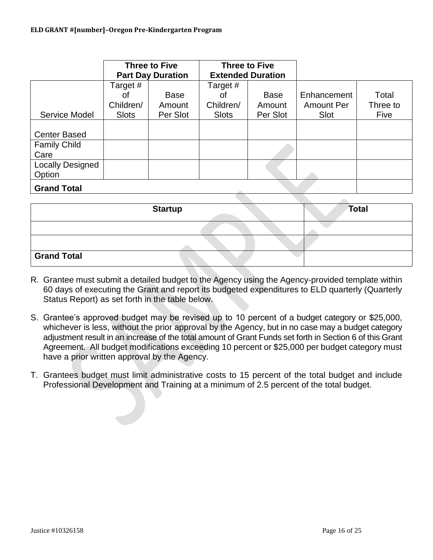|                                   |                             | Three to Five<br><b>Part Day Duration</b> | <b>Three to Five</b><br><b>Extended Duration</b> |                       |                                  |                   |
|-----------------------------------|-----------------------------|-------------------------------------------|--------------------------------------------------|-----------------------|----------------------------------|-------------------|
|                                   | Target #<br>0f<br>Children/ | <b>Base</b><br>Amount                     | Target#<br>0f<br>Children/                       | <b>Base</b><br>Amount | Enhancement<br><b>Amount Per</b> | Total<br>Three to |
| Service Model                     | <b>Slots</b>                | Per Slot                                  | <b>Slots</b>                                     | Per Slot              | Slot                             | Five              |
| <b>Center Based</b>               |                             |                                           |                                                  |                       |                                  |                   |
| <b>Family Child</b><br>Care       |                             |                                           |                                                  |                       |                                  |                   |
| <b>Locally Designed</b><br>Option |                             |                                           |                                                  |                       |                                  |                   |
| <b>Grand Total</b>                |                             |                                           |                                                  |                       |                                  |                   |

|                    | <b>Startup</b> | <b>Total</b> |
|--------------------|----------------|--------------|
|                    |                |              |
|                    |                |              |
| <b>Grand Total</b> |                |              |

- R. Grantee must submit a detailed budget to the Agency using the Agency-provided template within 60 days of executing the Grant and report its budgeted expenditures to ELD quarterly (Quarterly Status Report) as set forth in the table below.
- S. Grantee's approved budget may be revised up to 10 percent of a budget category or \$25,000, whichever is less, without the prior approval by the Agency, but in no case may a budget category adjustment result in an increase of the total amount of Grant Funds set forth in Section 6 of this Grant Agreement. All budget modifications exceeding 10 percent or \$25,000 per budget category must have a prior written approval by the Agency.
- T. Grantees budget must limit administrative costs to 15 percent of the total budget and include Professional Development and Training at a minimum of 2.5 percent of the total budget.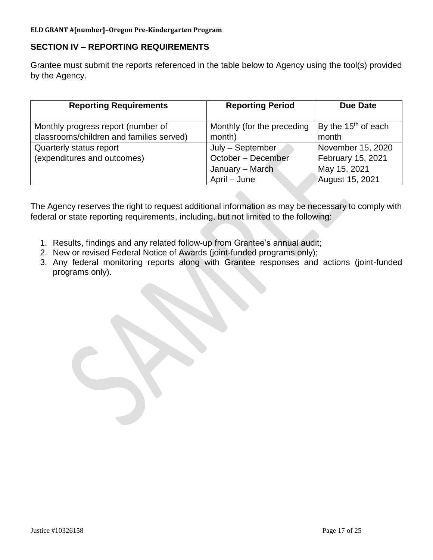## **SECTION IV – REPORTING REQUIREMENTS**

Grantee must submit the reports referenced in the table below to Agency using the tool(s) provided by the Agency.

| <b>Reporting Requirements</b>            | <b>Reporting Period</b>    | Due Date                        |
|------------------------------------------|----------------------------|---------------------------------|
| Monthly progress report (number of       | Monthly (for the preceding | By the 15 <sup>th</sup> of each |
| classrooms/children and families served) | month)                     | month                           |
| Quarterly status report                  | July - September           | November 15, 2020               |
| (expenditures and outcomes)              | October - December         | February 15, 2021               |
|                                          | January - March            | May 15, 2021                    |
|                                          | April – June               | <b>August 15, 2021</b>          |

The Agency reserves the right to request additional information as may be necessary to comply with federal or state reporting requirements, including, but not limited to the following:

- 1. Results, findings and any related follow-up from Grantee's annual audit;
- 2. New or revised Federal Notice of Awards (joint-funded programs only);
- 3. Any federal monitoring reports along with Grantee responses and actions (joint-funded programs only).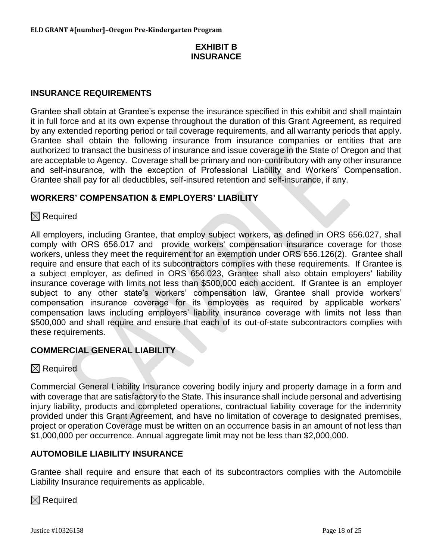### **EXHIBIT B INSURANCE**

#### **INSURANCE REQUIREMENTS**

Grantee shall obtain at Grantee's expense the insurance specified in this exhibit and shall maintain it in full force and at its own expense throughout the duration of this Grant Agreement, as required by any extended reporting period or tail coverage requirements, and all warranty periods that apply. Grantee shall obtain the following insurance from insurance companies or entities that are authorized to transact the business of insurance and issue coverage in the State of Oregon and that are acceptable to Agency. Coverage shall be primary and non-contributory with any other insurance and self-insurance, with the exception of Professional Liability and Workers' Compensation. Grantee shall pay for all deductibles, self-insured retention and self-insurance, if any.

#### **WORKERS' COMPENSATION & EMPLOYERS' LIABILITY**

 $\boxtimes$  Required

All employers, including Grantee, that employ subject workers, as defined in ORS 656.027, shall comply with ORS 656.017 and provide workers' compensation insurance coverage for those workers, unless they meet the requirement for an exemption under ORS 656.126(2). Grantee shall require and ensure that each of its subcontractors complies with these requirements. If Grantee is a subject employer, as defined in ORS 656.023, Grantee shall also obtain employers' liability insurance coverage with limits not less than \$500,000 each accident. If Grantee is an employer subject to any other state's workers' compensation law, Grantee shall provide workers' compensation insurance coverage for its employees as required by applicable workers' compensation laws including employers' liability insurance coverage with limits not less than \$500,000 and shall require and ensure that each of its out-of-state subcontractors complies with these requirements.

### **COMMERCIAL GENERAL LIABILITY**

 $\boxtimes$  Required

Commercial General Liability Insurance covering bodily injury and property damage in a form and with coverage that are satisfactory to the State. This insurance shall include personal and advertising injury liability, products and completed operations, contractual liability coverage for the indemnity provided under this Grant Agreement, and have no limitation of coverage to designated premises, project or operation Coverage must be written on an occurrence basis in an amount of not less than \$1,000,000 per occurrence. Annual aggregate limit may not be less than \$2,000,000.

#### **AUTOMOBILE LIABILITY INSURANCE**

Grantee shall require and ensure that each of its subcontractors complies with the Automobile Liability Insurance requirements as applicable.

### $\boxtimes$  Required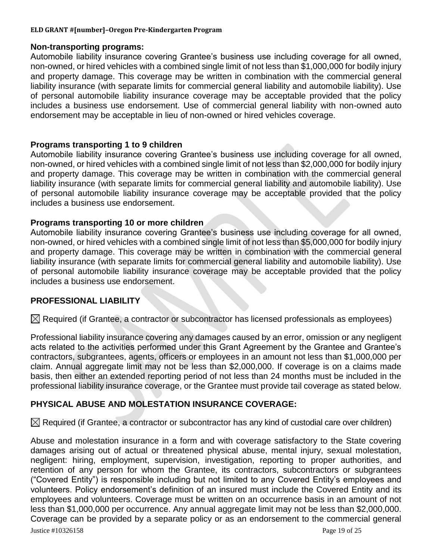#### **Non-transporting programs:**

Automobile liability insurance covering Grantee's business use including coverage for all owned, non-owned, or hired vehicles with a combined single limit of not less than \$1,000,000 for bodily injury and property damage. This coverage may be written in combination with the commercial general liability insurance (with separate limits for commercial general liability and automobile liability). Use of personal automobile liability insurance coverage may be acceptable provided that the policy includes a business use endorsement. Use of commercial general liability with non-owned auto endorsement may be acceptable in lieu of non-owned or hired vehicles coverage.

### **Programs transporting 1 to 9 children**

Automobile liability insurance covering Grantee's business use including coverage for all owned, non-owned, or hired vehicles with a combined single limit of not less than \$2,000,000 for bodily injury and property damage. This coverage may be written in combination with the commercial general liability insurance (with separate limits for commercial general liability and automobile liability). Use of personal automobile liability insurance coverage may be acceptable provided that the policy includes a business use endorsement.

### **Programs transporting 10 or more children**

Automobile liability insurance covering Grantee's business use including coverage for all owned, non-owned, or hired vehicles with a combined single limit of not less than \$5,000,000 for bodily injury and property damage. This coverage may be written in combination with the commercial general liability insurance (with separate limits for commercial general liability and automobile liability). Use of personal automobile liability insurance coverage may be acceptable provided that the policy includes a business use endorsement.

## **PROFESSIONAL LIABILITY**

 $\boxtimes$  Required (if Grantee, a contractor or subcontractor has licensed professionals as employees)

Professional liability insurance covering any damages caused by an error, omission or any negligent acts related to the activities performed under this Grant Agreement by the Grantee and Grantee's contractors, subgrantees, agents, officers or employees in an amount not less than \$1,000,000 per claim. Annual aggregate limit may not be less than \$2,000,000. If coverage is on a claims made basis, then either an extended reporting period of not less than 24 months must be included in the professional liability insurance coverage, or the Grantee must provide tail coverage as stated below.

## **PHYSICAL ABUSE AND MOLESTATION INSURANCE COVERAGE:**

 $\boxtimes$  Required (if Grantee, a contractor or subcontractor has any kind of custodial care over children)

Abuse and molestation insurance in a form and with coverage satisfactory to the State covering damages arising out of actual or threatened physical abuse, mental injury, sexual molestation, negligent: hiring, employment, supervision, investigation, reporting to proper authorities, and retention of any person for whom the Grantee, its contractors, subcontractors or subgrantees ("Covered Entity") is responsible including but not limited to any Covered Entity's employees and volunteers. Policy endorsement's definition of an insured must include the Covered Entity and its employees and volunteers. Coverage must be written on an occurrence basis in an amount of not less than \$1,000,000 per occurrence. Any annual aggregate limit may not be less than \$2,000,000. Coverage can be provided by a separate policy or as an endorsement to the commercial general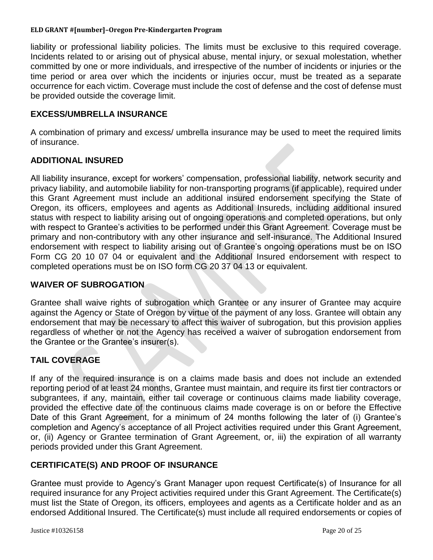liability or professional liability policies. The limits must be exclusive to this required coverage. Incidents related to or arising out of physical abuse, mental injury, or sexual molestation, whether committed by one or more individuals, and irrespective of the number of incidents or injuries or the time period or area over which the incidents or injuries occur, must be treated as a separate occurrence for each victim. Coverage must include the cost of defense and the cost of defense must be provided outside the coverage limit.

### **EXCESS/UMBRELLA INSURANCE**

A combination of primary and excess/ umbrella insurance may be used to meet the required limits of insurance.

### **ADDITIONAL INSURED**

All liability insurance, except for workers' compensation, professional liability, network security and privacy liability, and automobile liability for non-transporting programs (if applicable), required under this Grant Agreement must include an additional insured endorsement specifying the State of Oregon, its officers, employees and agents as Additional Insureds, including additional insured status with respect to liability arising out of ongoing operations and completed operations, but only with respect to Grantee's activities to be performed under this Grant Agreement. Coverage must be primary and non-contributory with any other insurance and self-insurance. The Additional Insured endorsement with respect to liability arising out of Grantee's ongoing operations must be on ISO Form CG 20 10 07 04 or equivalent and the Additional Insured endorsement with respect to completed operations must be on ISO form CG 20 37 04 13 or equivalent.

### **WAIVER OF SUBROGATION**

Grantee shall waive rights of subrogation which Grantee or any insurer of Grantee may acquire against the Agency or State of Oregon by virtue of the payment of any loss. Grantee will obtain any endorsement that may be necessary to affect this waiver of subrogation, but this provision applies regardless of whether or not the Agency has received a waiver of subrogation endorsement from the Grantee or the Grantee's insurer(s).

## **TAIL COVERAGE**

If any of the required insurance is on a claims made basis and does not include an extended reporting period of at least 24 months, Grantee must maintain, and require its first tier contractors or subgrantees, if any, maintain, either tail coverage or continuous claims made liability coverage, provided the effective date of the continuous claims made coverage is on or before the Effective Date of this Grant Agreement, for a minimum of 24 months following the later of (i) Grantee's completion and Agency's acceptance of all Project activities required under this Grant Agreement, or, (ii) Agency or Grantee termination of Grant Agreement, or, iii) the expiration of all warranty periods provided under this Grant Agreement.

### **CERTIFICATE(S) AND PROOF OF INSURANCE**

Grantee must provide to Agency's Grant Manager upon request Certificate(s) of Insurance for all required insurance for any Project activities required under this Grant Agreement. The Certificate(s) must list the State of Oregon, its officers, employees and agents as a Certificate holder and as an endorsed Additional Insured. The Certificate(s) must include all required endorsements or copies of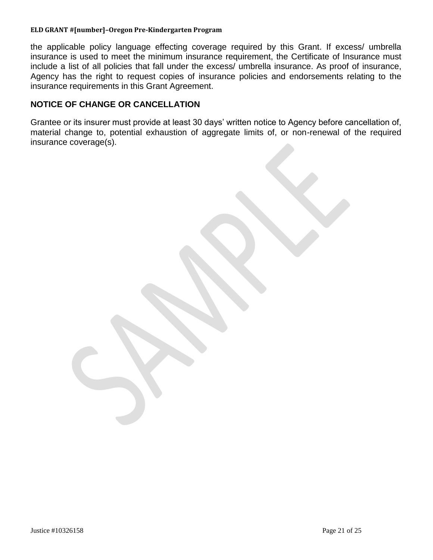the applicable policy language effecting coverage required by this Grant. If excess/ umbrella insurance is used to meet the minimum insurance requirement, the Certificate of Insurance must include a list of all policies that fall under the excess/ umbrella insurance. As proof of insurance, Agency has the right to request copies of insurance policies and endorsements relating to the insurance requirements in this Grant Agreement.

### **NOTICE OF CHANGE OR CANCELLATION**

Grantee or its insurer must provide at least 30 days' written notice to Agency before cancellation of, material change to, potential exhaustion of aggregate limits of, or non-renewal of the required insurance coverage(s).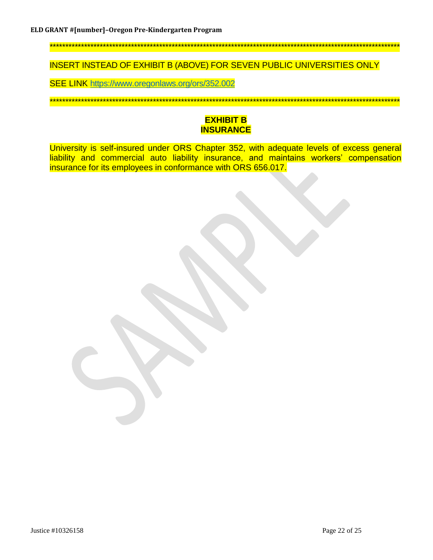\*\*\*\*\*\*\*\*\*\*\*\*\*\*\*\*\*\*\*\*\*\*\*\*\*\*\*\*\*\*\*\*\*\*\*\*\*\*\*\*\*\*\*\*\*\*\*\*\*\*\*\*\*\*\*\*\*\*\*\*\*\*\*\*\*\*\*\*\*\*\*\*\*\*\*\*\*\*\*\*\*\*\*\*\*\*\*\*\*\*\*\*\*\*\*\*\*\*\*\*\*\*\*\*\*\*\*\*\*\*\*\*

INSERT INSTEAD OF EXHIBIT B (ABOVE) FOR SEVEN PUBLIC UNIVERSITIES ONLY

SEE LINK<https://www.oregonlaws.org/ors/352.002>

\*\*\*\*\*\*\*\*\*\*\*\*\*\*\*\*\*\*\*\*\*\*\*\*\*\*\*\*\*\*\*\*\*\*\*\*\*\*\*\*\*\*\*\*\*\*\*\*\*\*\*\*\*\*\*\*\*\*\*\*\*\*\*\*\*\*\*\*\*\*\*\*\*\*\*\*\*\*\*\*\*\*\*\*\*\*\*\*\*\*\*\*\*\*\*\*\*\*\*\*\*\*\*\*\*\*\*\*\*\*\*\*

#### **EXHIBIT B INSURANCE**

University is self-insured under ORS Chapter 352, with adequate levels of excess general liability and commercial auto liability insurance, and maintains workers' compensation insurance for its employees in conformance with ORS 656.017.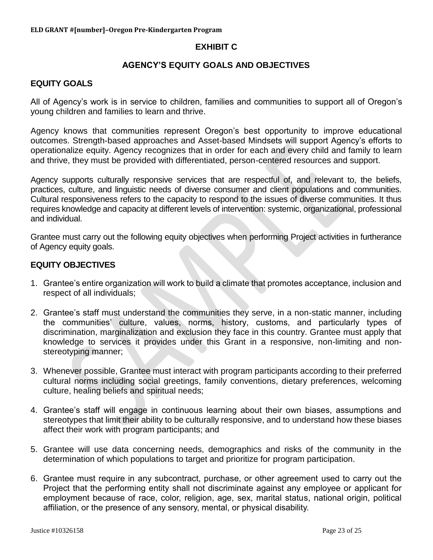### **EXHIBIT C**

#### **AGENCY'S EQUITY GOALS AND OBJECTIVES**

#### **EQUITY GOALS**

All of Agency's work is in service to children, families and communities to support all of Oregon's young children and families to learn and thrive.

Agency knows that communities represent Oregon's best opportunity to improve educational outcomes. Strength-based approaches and Asset-based Mindsets will support Agency's efforts to operationalize equity. Agency recognizes that in order for each and every child and family to learn and thrive, they must be provided with differentiated, person-centered resources and support.

Agency supports culturally responsive services that are respectful of, and relevant to, the beliefs, practices, culture, and linguistic needs of diverse consumer and client populations and communities. Cultural responsiveness refers to the capacity to respond to the issues of diverse communities. It thus requires knowledge and capacity at different levels of intervention: systemic, organizational, professional and individual.

Grantee must carry out the following equity objectives when performing Project activities in furtherance of Agency equity goals.

#### **EQUITY OBJECTIVES**

- 1. Grantee's entire organization will work to build a climate that promotes acceptance, inclusion and respect of all individuals;
- 2. Grantee's staff must understand the communities they serve, in a non-static manner, including the communities' culture, values, norms, history, customs, and particularly types of discrimination, marginalization and exclusion they face in this country. Grantee must apply that knowledge to services it provides under this Grant in a responsive, non-limiting and nonstereotyping manner;
- 3. Whenever possible, Grantee must interact with program participants according to their preferred cultural norms including social greetings, family conventions, dietary preferences, welcoming culture, healing beliefs and spiritual needs;
- 4. Grantee's staff will engage in continuous learning about their own biases, assumptions and stereotypes that limit their ability to be culturally responsive, and to understand how these biases affect their work with program participants; and
- 5. Grantee will use data concerning needs, demographics and risks of the community in the determination of which populations to target and prioritize for program participation.
- 6. Grantee must require in any subcontract, purchase, or other agreement used to carry out the Project that the performing entity shall not discriminate against any employee or applicant for employment because of race, color, religion, age, sex, marital status, national origin, political affiliation, or the presence of any sensory, mental, or physical disability.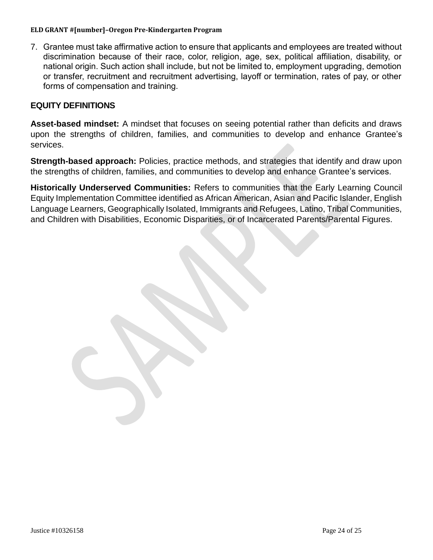7. Grantee must take affirmative action to ensure that applicants and employees are treated without discrimination because of their race, color, religion, age, sex, political affiliation, disability, or national origin. Such action shall include, but not be limited to, employment upgrading, demotion or transfer, recruitment and recruitment advertising, layoff or termination, rates of pay, or other forms of compensation and training.

### **EQUITY DEFINITIONS**

**Asset-based mindset:** A mindset that focuses on seeing potential rather than deficits and draws upon the strengths of children, families, and communities to develop and enhance Grantee's services.

**Strength-based approach:** Policies, practice methods, and strategies that identify and draw upon the strengths of children, families, and communities to develop and enhance Grantee's services.

**Historically Underserved Communities:** Refers to communities that the Early Learning Council Equity Implementation Committee identified as African American, Asian and Pacific Islander, English Language Learners, Geographically Isolated, Immigrants and Refugees, Latino, Tribal Communities, and Children with Disabilities, Economic Disparities, or of Incarcerated Parents/Parental Figures.